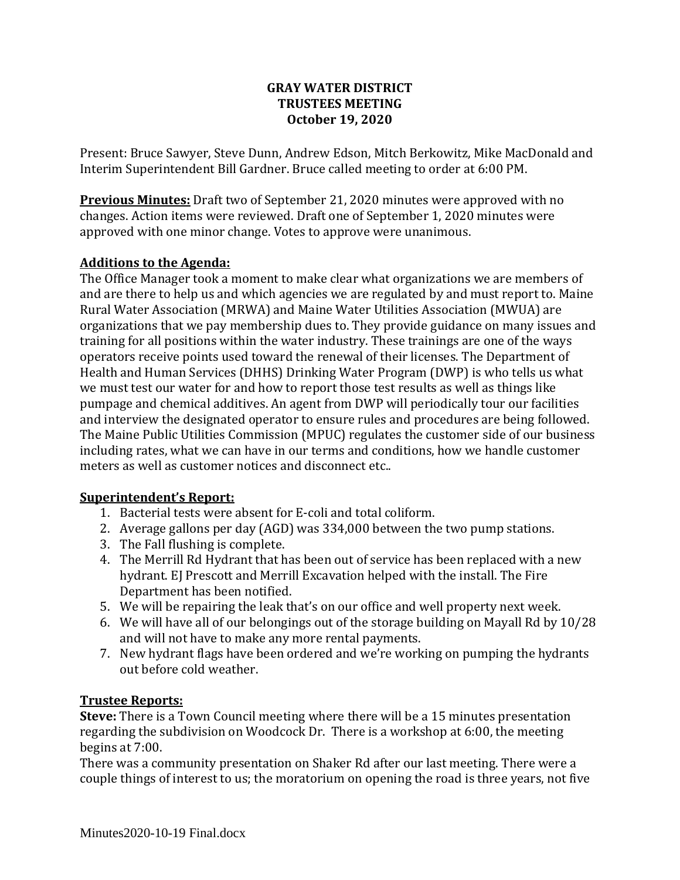## **GRAY WATER DISTRICT TRUSTEES MEETING October 19, 2020**

Present: Bruce Sawyer, Steve Dunn, Andrew Edson, Mitch Berkowitz, Mike MacDonald and Interim Superintendent Bill Gardner. Bruce called meeting to order at 6:00 PM.

**Previous Minutes:** Draft two of September 21, 2020 minutes were approved with no changes. Action items were reviewed. Draft one of September 1, 2020 minutes were approved with one minor change. Votes to approve were unanimous.

## **Additions to the Agenda:**

The Office Manager took a moment to make clear what organizations we are members of and are there to help us and which agencies we are regulated by and must report to. Maine Rural Water Association (MRWA) and Maine Water Utilities Association (MWUA) are organizations that we pay membership dues to. They provide guidance on many issues and training for all positions within the water industry. These trainings are one of the ways operators receive points used toward the renewal of their licenses. The Department of Health and Human Services (DHHS) Drinking Water Program (DWP) is who tells us what we must test our water for and how to report those test results as well as things like pumpage and chemical additives. An agent from DWP will periodically tour our facilities and interview the designated operator to ensure rules and procedures are being followed. The Maine Public Utilities Commission (MPUC) regulates the customer side of our business including rates, what we can have in our terms and conditions, how we handle customer meters as well as customer notices and disconnect etc..

#### **Superintendent's Report:**

- 1. Bacterial tests were absent for E-coli and total coliform.
- 2. Average gallons per day (AGD) was 334,000 between the two pump stations.
- 3. The Fall flushing is complete.
- 4. The Merrill Rd Hydrant that has been out of service has been replaced with a new hydrant. EJ Prescott and Merrill Excavation helped with the install. The Fire Department has been notified.
- 5. We will be repairing the leak that's on our office and well property next week.
- 6. We will have all of our belongings out of the storage building on Mayall Rd by 10/28 and will not have to make any more rental payments.
- 7. New hydrant flags have been ordered and we're working on pumping the hydrants out before cold weather.

#### **Trustee Reports:**

**Steve:** There is a Town Council meeting where there will be a 15 minutes presentation regarding the subdivision on Woodcock Dr. There is a workshop at 6:00, the meeting begins at 7:00.

There was a community presentation on Shaker Rd after our last meeting. There were a couple things of interest to us; the moratorium on opening the road is three years, not five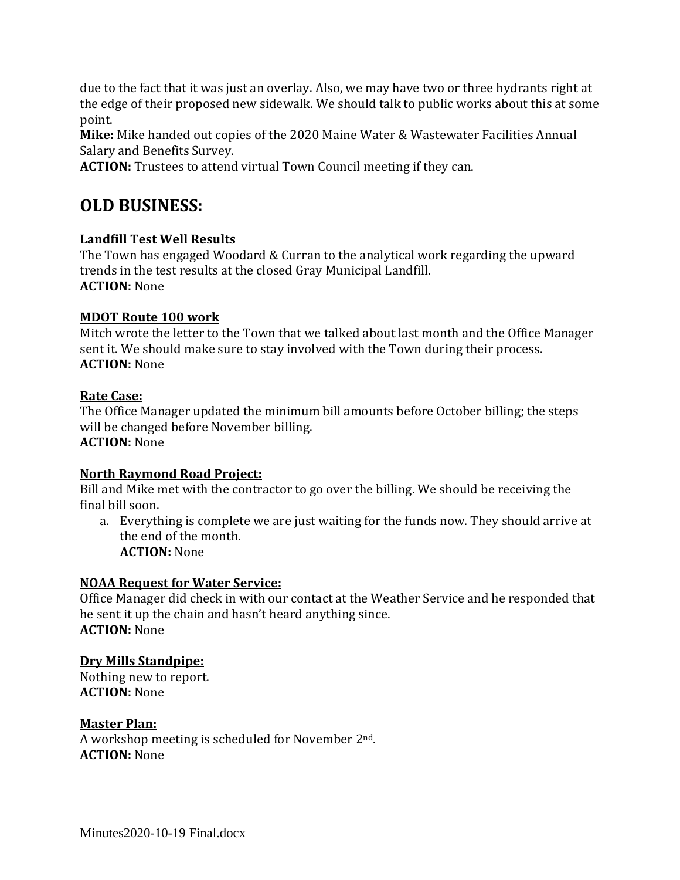due to the fact that it was just an overlay. Also, we may have two or three hydrants right at the edge of their proposed new sidewalk. We should talk to public works about this at some point.

**Mike:** Mike handed out copies of the 2020 Maine Water & Wastewater Facilities Annual Salary and Benefits Survey.

**ACTION:** Trustees to attend virtual Town Council meeting if they can.

# **OLD BUSINESS:**

## **Landfill Test Well Results**

The Town has engaged Woodard & Curran to the analytical work regarding the upward trends in the test results at the closed Gray Municipal Landfill. **ACTION:** None

## **MDOT Route 100 work**

Mitch wrote the letter to the Town that we talked about last month and the Office Manager sent it. We should make sure to stay involved with the Town during their process. **ACTION:** None

## **Rate Case:**

The Office Manager updated the minimum bill amounts before October billing; the steps will be changed before November billing. **ACTION:** None

#### **North Raymond Road Project:**

Bill and Mike met with the contractor to go over the billing. We should be receiving the final bill soon.

a. Everything is complete we are just waiting for the funds now. They should arrive at the end of the month. **ACTION:** None

## **NOAA Request for Water Service:**

Office Manager did check in with our contact at the Weather Service and he responded that he sent it up the chain and hasn't heard anything since. **ACTION:** None

## **Dry Mills Standpipe:**

Nothing new to report. **ACTION:** None

## **Master Plan:**

A workshop meeting is scheduled for November 2nd. **ACTION:** None